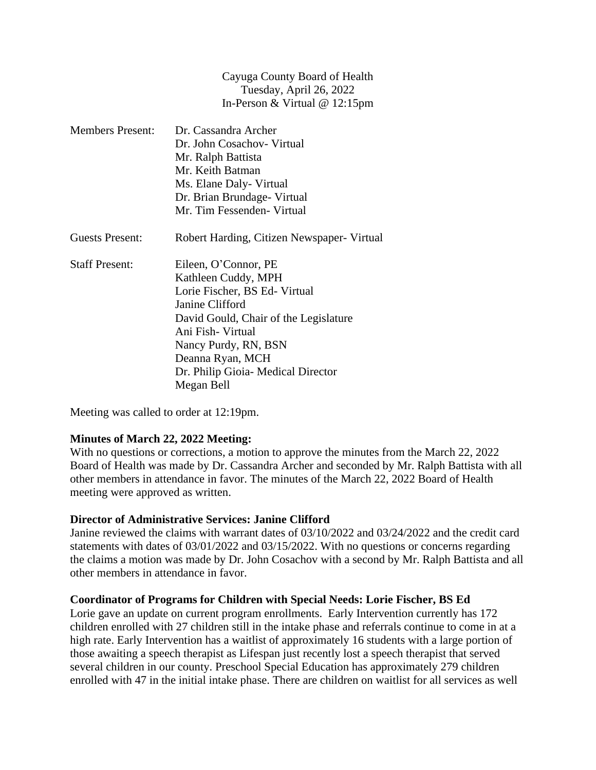| Cayuga County Board of Health           |
|-----------------------------------------|
| Tuesday, April 26, 2022                 |
| In-Person & Virtual $@ 12:15 \text{pm}$ |

| <b>Members Present:</b> | Dr. Cassandra Archer                       |
|-------------------------|--------------------------------------------|
|                         | Dr. John Cosachov- Virtual                 |
|                         | Mr. Ralph Battista                         |
|                         | Mr. Keith Batman                           |
|                         | Ms. Elane Daly- Virtual                    |
|                         | Dr. Brian Brundage-Virtual                 |
|                         | Mr. Tim Fessenden - Virtual                |
| Guests Present:         | Robert Harding, Citizen Newspaper- Virtual |
| <b>Staff Present:</b>   | Eileen, O'Connor, PE                       |
|                         | Kathleen Cuddy, MPH                        |
|                         | Lorie Fischer, BS Ed-Virtual               |
|                         | Janine Clifford                            |
|                         | David Gould, Chair of the Legislature      |
|                         | Ani Fish- Virtual                          |
|                         | Nancy Purdy, RN, BSN                       |
|                         | Deanna Ryan, MCH                           |
|                         | Dr. Philip Gioia- Medical Director         |
|                         | Megan Bell                                 |

Meeting was called to order at 12:19pm.

### **Minutes of March 22, 2022 Meeting:**

With no questions or corrections, a motion to approve the minutes from the March 22, 2022 Board of Health was made by Dr. Cassandra Archer and seconded by Mr. Ralph Battista with all other members in attendance in favor. The minutes of the March 22, 2022 Board of Health meeting were approved as written.

### **Director of Administrative Services: Janine Clifford**

Janine reviewed the claims with warrant dates of 03/10/2022 and 03/24/2022 and the credit card statements with dates of 03/01/2022 and 03/15/2022. With no questions or concerns regarding the claims a motion was made by Dr. John Cosachov with a second by Mr. Ralph Battista and all other members in attendance in favor.

#### **Coordinator of Programs for Children with Special Needs: Lorie Fischer, BS Ed**

Lorie gave an update on current program enrollments. Early Intervention currently has 172 children enrolled with 27 children still in the intake phase and referrals continue to come in at a high rate. Early Intervention has a waitlist of approximately 16 students with a large portion of those awaiting a speech therapist as Lifespan just recently lost a speech therapist that served several children in our county. Preschool Special Education has approximately 279 children enrolled with 47 in the initial intake phase. There are children on waitlist for all services as well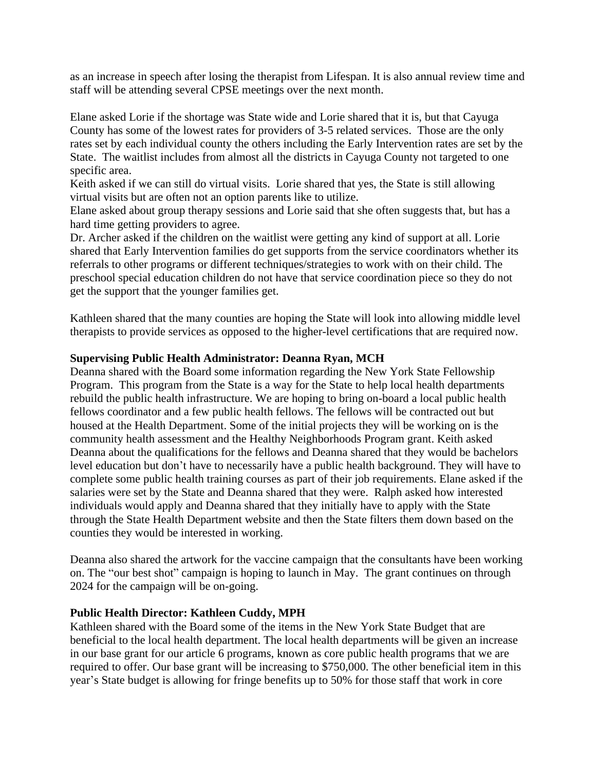as an increase in speech after losing the therapist from Lifespan. It is also annual review time and staff will be attending several CPSE meetings over the next month.

Elane asked Lorie if the shortage was State wide and Lorie shared that it is, but that Cayuga County has some of the lowest rates for providers of 3-5 related services. Those are the only rates set by each individual county the others including the Early Intervention rates are set by the State. The waitlist includes from almost all the districts in Cayuga County not targeted to one specific area.

Keith asked if we can still do virtual visits. Lorie shared that yes, the State is still allowing virtual visits but are often not an option parents like to utilize.

Elane asked about group therapy sessions and Lorie said that she often suggests that, but has a hard time getting providers to agree.

Dr. Archer asked if the children on the waitlist were getting any kind of support at all. Lorie shared that Early Intervention families do get supports from the service coordinators whether its referrals to other programs or different techniques/strategies to work with on their child. The preschool special education children do not have that service coordination piece so they do not get the support that the younger families get.

Kathleen shared that the many counties are hoping the State will look into allowing middle level therapists to provide services as opposed to the higher-level certifications that are required now.

## **Supervising Public Health Administrator: Deanna Ryan, MCH**

Deanna shared with the Board some information regarding the New York State Fellowship Program. This program from the State is a way for the State to help local health departments rebuild the public health infrastructure. We are hoping to bring on-board a local public health fellows coordinator and a few public health fellows. The fellows will be contracted out but housed at the Health Department. Some of the initial projects they will be working on is the community health assessment and the Healthy Neighborhoods Program grant. Keith asked Deanna about the qualifications for the fellows and Deanna shared that they would be bachelors level education but don't have to necessarily have a public health background. They will have to complete some public health training courses as part of their job requirements. Elane asked if the salaries were set by the State and Deanna shared that they were. Ralph asked how interested individuals would apply and Deanna shared that they initially have to apply with the State through the State Health Department website and then the State filters them down based on the counties they would be interested in working.

Deanna also shared the artwork for the vaccine campaign that the consultants have been working on. The "our best shot" campaign is hoping to launch in May. The grant continues on through 2024 for the campaign will be on-going.

### **Public Health Director: Kathleen Cuddy, MPH**

Kathleen shared with the Board some of the items in the New York State Budget that are beneficial to the local health department. The local health departments will be given an increase in our base grant for our article 6 programs, known as core public health programs that we are required to offer. Our base grant will be increasing to \$750,000. The other beneficial item in this year's State budget is allowing for fringe benefits up to 50% for those staff that work in core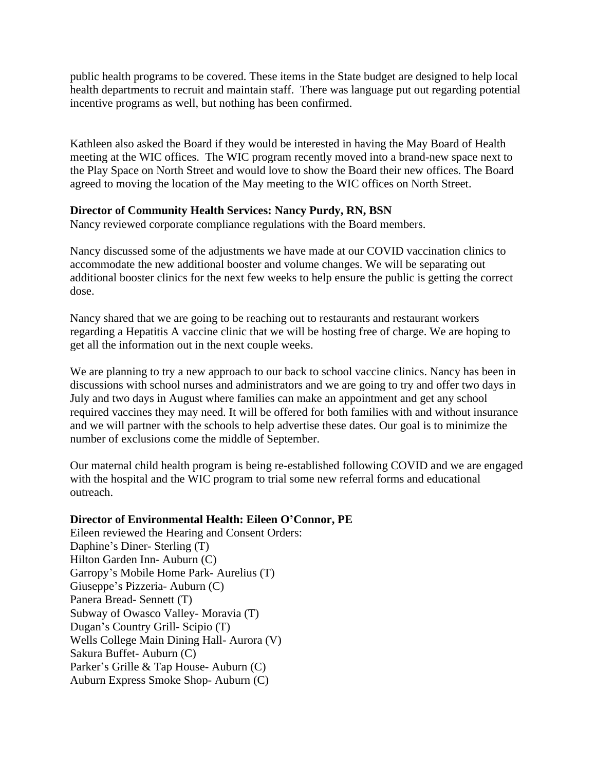public health programs to be covered. These items in the State budget are designed to help local health departments to recruit and maintain staff. There was language put out regarding potential incentive programs as well, but nothing has been confirmed.

Kathleen also asked the Board if they would be interested in having the May Board of Health meeting at the WIC offices. The WIC program recently moved into a brand-new space next to the Play Space on North Street and would love to show the Board their new offices. The Board agreed to moving the location of the May meeting to the WIC offices on North Street.

## **Director of Community Health Services: Nancy Purdy, RN, BSN**

Nancy reviewed corporate compliance regulations with the Board members.

Nancy discussed some of the adjustments we have made at our COVID vaccination clinics to accommodate the new additional booster and volume changes. We will be separating out additional booster clinics for the next few weeks to help ensure the public is getting the correct dose.

Nancy shared that we are going to be reaching out to restaurants and restaurant workers regarding a Hepatitis A vaccine clinic that we will be hosting free of charge. We are hoping to get all the information out in the next couple weeks.

We are planning to try a new approach to our back to school vaccine clinics. Nancy has been in discussions with school nurses and administrators and we are going to try and offer two days in July and two days in August where families can make an appointment and get any school required vaccines they may need. It will be offered for both families with and without insurance and we will partner with the schools to help advertise these dates. Our goal is to minimize the number of exclusions come the middle of September.

Our maternal child health program is being re-established following COVID and we are engaged with the hospital and the WIC program to trial some new referral forms and educational outreach.

# **Director of Environmental Health: Eileen O'Connor, PE**

Eileen reviewed the Hearing and Consent Orders: Daphine's Diner- Sterling (T) Hilton Garden Inn- Auburn (C) Garropy's Mobile Home Park- Aurelius (T) Giuseppe's Pizzeria- Auburn (C) Panera Bread- Sennett (T) Subway of Owasco Valley- Moravia (T) Dugan's Country Grill- Scipio (T) Wells College Main Dining Hall- Aurora (V) Sakura Buffet- Auburn (C) Parker's Grille & Tap House- Auburn (C) Auburn Express Smoke Shop- Auburn (C)